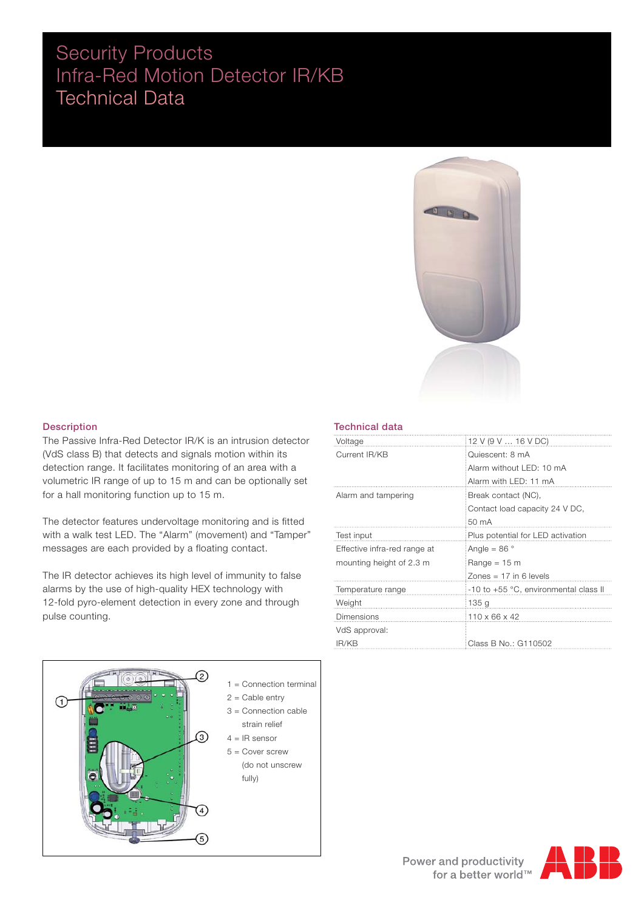# Security Products Infra-Red Motion Detector IR/KB Technical Data



#### Description

The Passive Infra-Red Detector IR/K is an intrusion detector (VdS class B) that detects and signals motion within its detection range. It facilitates monitoring of an area with a volumetric IR range of up to 15 m and can be optionally set for a hall monitoring function up to 15 m.

The detector features undervoltage monitoring and is fitted with a walk test LED. The "Alarm" (movement) and "Tamper" messages are each provided by a floating contact.

The IR detector achieves its high level of immunity to false alarms by the use of high-quality HEX technology with 12-fold pyro-element detection in every zone and through pulse counting.



#### Technical data

| Voltage                      | 12 V (9 V  16 V DC)                   |
|------------------------------|---------------------------------------|
| Current IR/KB                | Quiescent: 8 mA                       |
|                              | Alarm without LED: 10 mA              |
|                              | Alarm with LED: 11 mA                 |
| Alarm and tampering          | Break contact (NC),                   |
|                              | Contact load capacity 24 V DC,        |
|                              | 50 mA                                 |
| Test input                   | Plus potential for LED activation     |
| Effective infra-red range at | Angle = 86 $\degree$                  |
| mounting height of 2.3 m     | Range = $15 \text{ m}$                |
|                              | Zones $= 17$ in 6 levels              |
| Temperature range            | -10 to +55 °C, environmental class II |
| Weight                       | 135 g                                 |
| <b>Dimensions</b>            | $110 \times 66 \times 42$             |
| VdS approval:                |                                       |
| IR/KB                        | Class B No.: G110502                  |

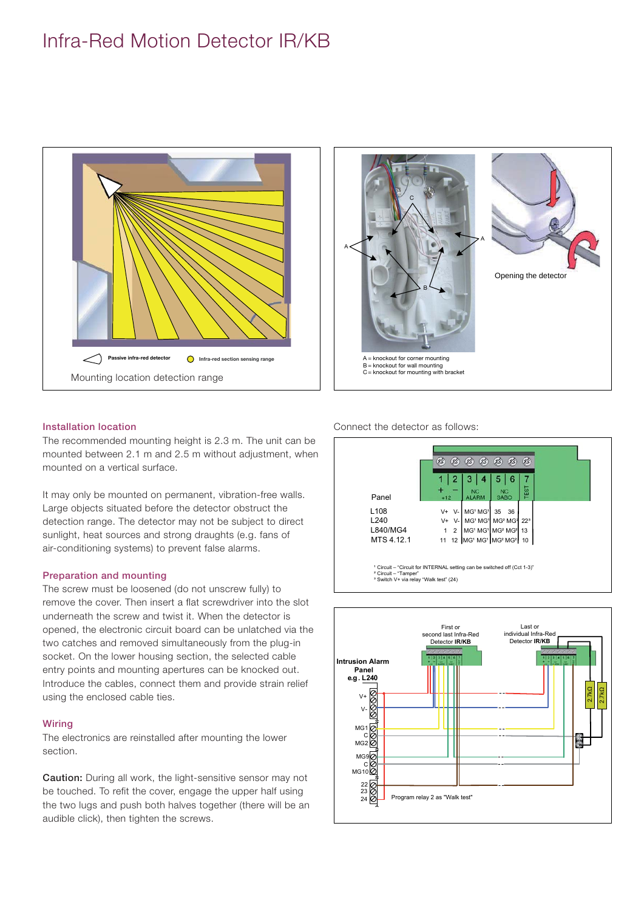# Infra-Red Motion Detector IR/KB





#### Installation location

The recommended mounting height is 2.3 m. The unit can be mounted between 2.1 m and 2.5 m without adjustment, when mounted on a vertical surface.

It may only be mounted on permanent, vibration-free walls. Large objects situated before the detector obstruct the detection range. The detector may not be subject to direct sunlight, heat sources and strong draughts (e.g. fans of air-conditioning systems) to prevent false alarms.

### Preparation and mounting

The screw must be loosened (do not unscrew fully) to remove the cover. Then insert a flat screwdriver into the slot underneath the screw and twist it. When the detector is opened, the electronic circuit board can be unlatched via the two catches and removed simultaneously from the plug-in socket. On the lower housing section, the selected cable entry points and mounting apertures can be knocked out. Introduce the cables, connect them and provide strain relief using the enclosed cable ties.

### **Wiring**

The electronics are reinstalled after mounting the lower section.

Caution: During all work, the light-sensitive sensor may not be touched. To refit the cover, engage the upper half using the two lugs and push both halves together (there will be an audible click), then tighten the screws.

Connect the detector as follows:



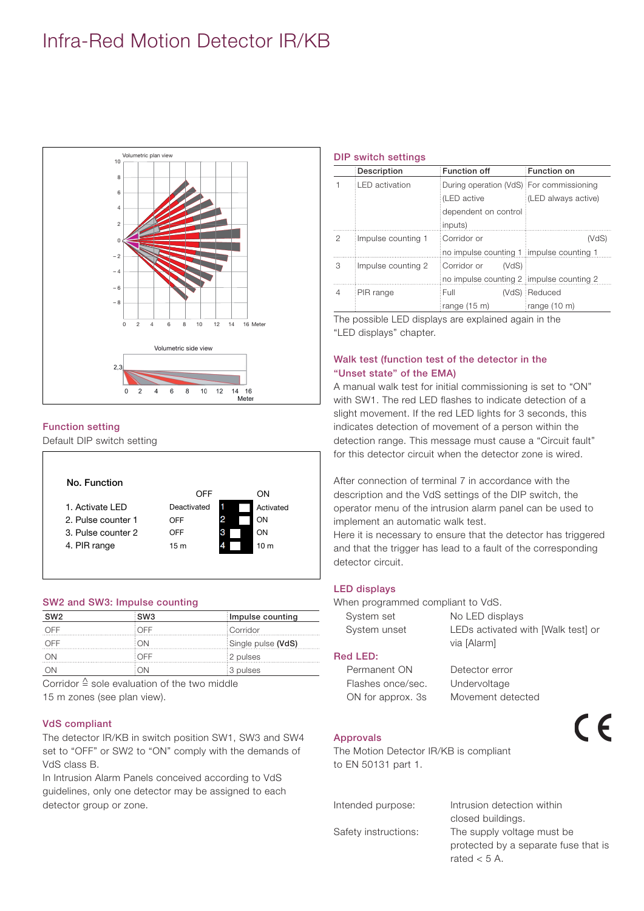# Infra-Red Motion Detector IR/KB



### Function setting

Default DIP switch setting



### SW2 and SW3: Impulse counting

| SW <sub>2</sub> | :SW3<br>Impulse counting |                    |  |  |
|-----------------|--------------------------|--------------------|--|--|
| OFF             | ∶OFF                     | Corridor           |  |  |
| OFF             | MΩ                       | Single pulse (VdS) |  |  |
| $($ )N          | $\bigcirc$ OFF           | 2 pulses           |  |  |
|                 |                          | 3 pulses           |  |  |

Corridor  $\triangleq$  sole evaluation of the two middle 15 m zones (see plan view).

### VdS compliant

The detector IR/KB in switch position SW1, SW3 and SW4 set to "OFF" or SW2 to "ON" comply with the demands of VdS class B.

In Intrusion Alarm Panels conceived according to VdS guidelines, only one detector may be assigned to each detector group or zone.

#### DIP switch settings

|   | Description           | Function off                             | <b>Function on</b>  |  |  |
|---|-----------------------|------------------------------------------|---------------------|--|--|
|   | <b>LED</b> activation | During operation (VdS) For commissioning |                     |  |  |
|   |                       | : (LED active                            | (LED always active) |  |  |
|   |                       | dependent on control                     |                     |  |  |
|   |                       | inputs)                                  |                     |  |  |
| 2 | Impulse counting 1    | Corridor or                              | (VdS)               |  |  |
|   |                       | no impulse counting 1 impulse counting 1 |                     |  |  |
| 3 | Impulse counting 2    | Corridor or<br>(VdS)                     |                     |  |  |
|   |                       | no impulse counting 2 impulse counting 2 |                     |  |  |
| 4 | PIR range             | Full                                     | (VdS) : Reduced     |  |  |
|   |                       | range $(15 \text{ m})$                   | range (10 m)        |  |  |

The possible LED displays are explained again in the "LED displays" chapter.

### Walk test (function test of the detector in the "Unset state" of the EMA)

A manual walk test for initial commissioning is set to "ON" with SW1. The red LED flashes to indicate detection of a slight movement. If the red LED lights for 3 seconds, this indicates detection of movement of a person within the detection range. This message must cause a "Circuit fault" for this detector circuit when the detector zone is wired.

After connection of terminal 7 in accordance with the description and the VdS settings of the DIP switch, the operator menu of the intrusion alarm panel can be used to implement an automatic walk test.

Here it is necessary to ensure that the detector has triggered and that the trigger has lead to a fault of the corresponding detector circuit.

### LED displays

When programmed compliant to VdS.

| System set   | No LED displays                    |
|--------------|------------------------------------|
| System unset | LEDs activated with [Walk test] or |
|              | via [Alarm]                        |
| ed LED:      |                                    |
| Permanent ON | Detector error                     |
|              |                                    |

 $\epsilon$ 

## $\overline{R}$

| - Permanent ON    | Detector error    |
|-------------------|-------------------|
| Flashes once/sec. | Undervoltage      |
| ON for approx. 3s | Movement detected |

#### Approvals

The Motion Detector IR/KB is compliant to EN 50131 part 1.

| Intended purpose:    | Intrusion detection within           |
|----------------------|--------------------------------------|
|                      | closed buildings.                    |
| Safety instructions: | The supply voltage must be           |
|                      | protected by a separate fuse that is |
|                      | rated $<$ 5 A.                       |